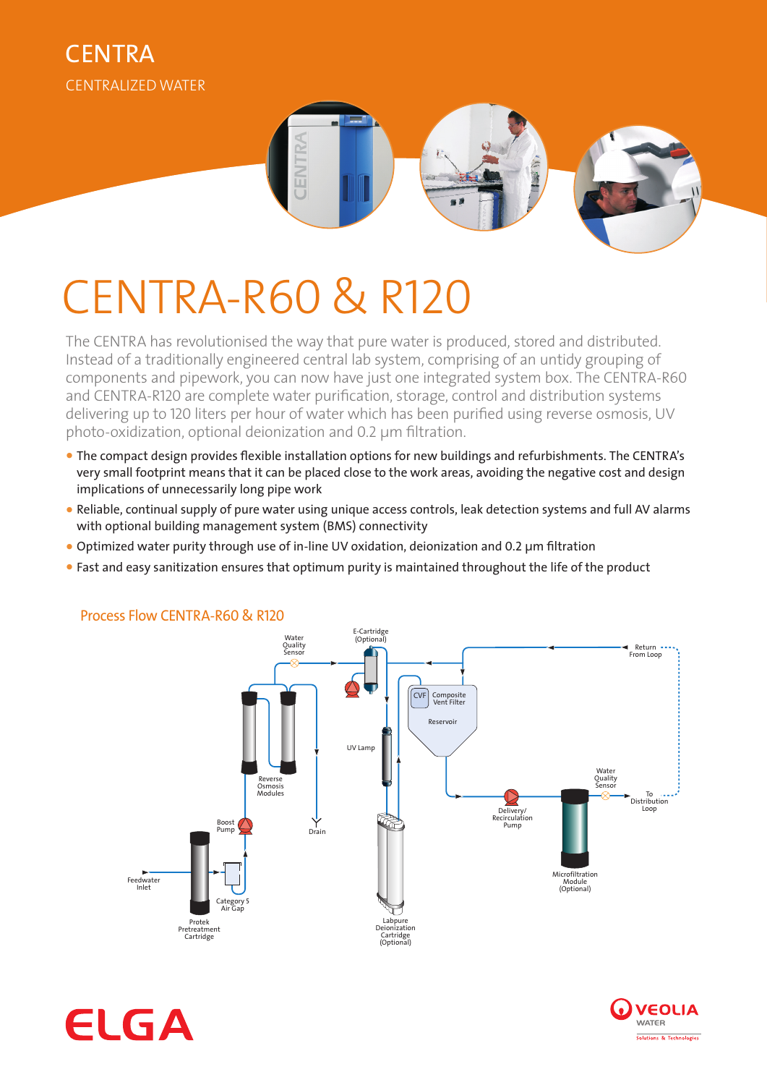



# CENTRA-R60 & R120

The CENTRA has revolutionised the way that pure water is produced, stored and distributed. Instead of a traditionally engineered central lab system, comprising of an untidy grouping of components and pipework, you can now have just one integrated system box. The CENTRA-R60 and CENTRA-R120 are complete water purification, storage, control and distribution systems delivering up to 120 liters per hour of water which has been purified using reverse osmosis, UV photo-oxidization, optional deionization and 0.2 µm filtration.

- **•** The compact design provides flexible installation options for new buildings and refurbishments. The CENTRA's very small footprint means that it can be placed close to the work areas, avoiding the negative cost and design implications of unnecessarily long pipe work
- **•** Reliable, continual supply of pure water using unique access controls, leak detection systems and full AV alarms with optional building management system (BMS) connectivity
- **•** Optimized water purity through use of in-line UV oxidation, deionization and 0.2 µm filtration
- **•** Fast and easy sanitization ensures that optimum purity is maintained throughout the life of the product



## Process Flow CENTRA-R60 & R120